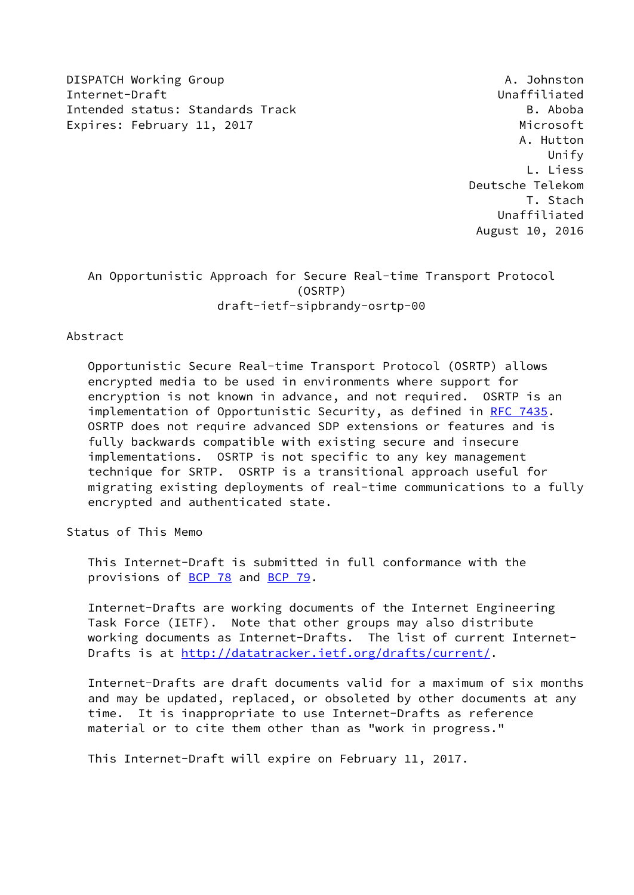DISPATCH Working Group **A. Johnston** Internet-Draft Unaffiliated Intended status: Standards Track B. Aboba Expires: February 11, 2017 **Microsoft** 

 A. Hutton Unify L. Liess Deutsche Telekom T. Stach Unaffiliated August 10, 2016

## An Opportunistic Approach for Secure Real-time Transport Protocol (OSRTP) draft-ietf-sipbrandy-osrtp-00

Abstract

 Opportunistic Secure Real-time Transport Protocol (OSRTP) allows encrypted media to be used in environments where support for encryption is not known in advance, and not required. OSRTP is an implementation of Opportunistic Security, as defined in [RFC 7435](https://datatracker.ietf.org/doc/pdf/rfc7435). OSRTP does not require advanced SDP extensions or features and is fully backwards compatible with existing secure and insecure implementations. OSRTP is not specific to any key management technique for SRTP. OSRTP is a transitional approach useful for migrating existing deployments of real-time communications to a fully encrypted and authenticated state.

Status of This Memo

 This Internet-Draft is submitted in full conformance with the provisions of [BCP 78](https://datatracker.ietf.org/doc/pdf/bcp78) and [BCP 79](https://datatracker.ietf.org/doc/pdf/bcp79).

 Internet-Drafts are working documents of the Internet Engineering Task Force (IETF). Note that other groups may also distribute working documents as Internet-Drafts. The list of current Internet- Drafts is at<http://datatracker.ietf.org/drafts/current/>.

 Internet-Drafts are draft documents valid for a maximum of six months and may be updated, replaced, or obsoleted by other documents at any time. It is inappropriate to use Internet-Drafts as reference material or to cite them other than as "work in progress."

This Internet-Draft will expire on February 11, 2017.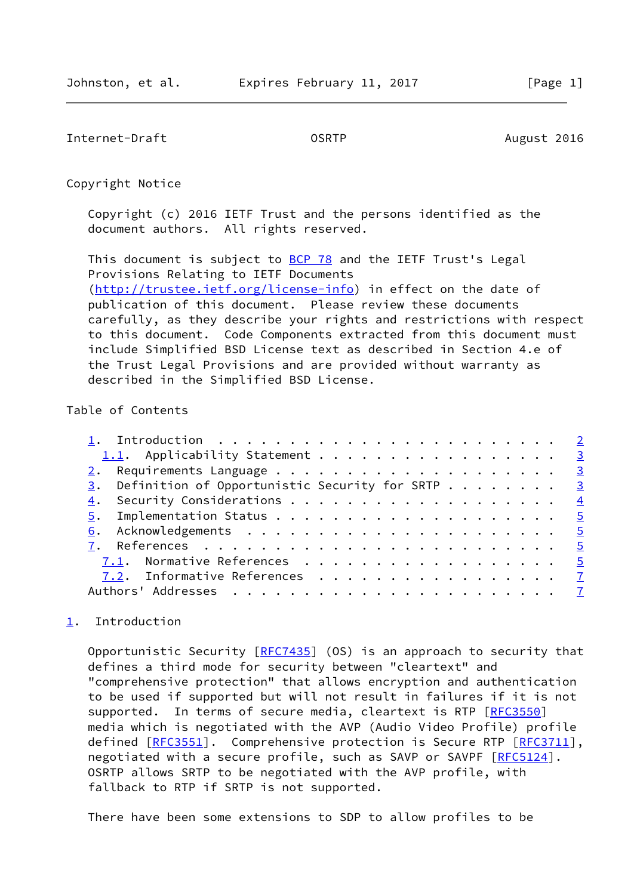<span id="page-1-1"></span>Internet-Draft **Construction COSRTP CONSTRENT August 2016** 

Copyright Notice

 Copyright (c) 2016 IETF Trust and the persons identified as the document authors. All rights reserved.

This document is subject to **[BCP 78](https://datatracker.ietf.org/doc/pdf/bcp78)** and the IETF Trust's Legal Provisions Relating to IETF Documents [\(http://trustee.ietf.org/license-info](http://trustee.ietf.org/license-info)) in effect on the date of publication of this document. Please review these documents carefully, as they describe your rights and restrictions with respect to this document. Code Components extracted from this document must include Simplified BSD License text as described in Section 4.e of the Trust Legal Provisions and are provided without warranty as described in the Simplified BSD License.

## Table of Contents

| 1.1. Applicability Statement 3                                  |  |
|-----------------------------------------------------------------|--|
|                                                                 |  |
| $\frac{3}{2}$ . Definition of Opportunistic Security for SRTP 3 |  |
|                                                                 |  |
|                                                                 |  |
|                                                                 |  |
|                                                                 |  |
| 7.1. Normative References 5                                     |  |
| 7.2. Informative References 7                                   |  |
|                                                                 |  |
|                                                                 |  |

## <span id="page-1-0"></span>[1](#page-1-0). Introduction

Opportunistic Security  $[RFC7435]$  $[RFC7435]$  (OS) is an approach to security that defines a third mode for security between "cleartext" and "comprehensive protection" that allows encryption and authentication to be used if supported but will not result in failures if it is not supported. In terms of secure media, cleartext is RTP [\[RFC3550](https://datatracker.ietf.org/doc/pdf/rfc3550)] media which is negotiated with the AVP (Audio Video Profile) profile defined  $[REC3551]$ . Comprehensive protection is Secure RTP  $[REC3711]$ , negotiated with a secure profile, such as SAVP or SAVPF [\[RFC5124](https://datatracker.ietf.org/doc/pdf/rfc5124)]. OSRTP allows SRTP to be negotiated with the AVP profile, with fallback to RTP if SRTP is not supported.

There have been some extensions to SDP to allow profiles to be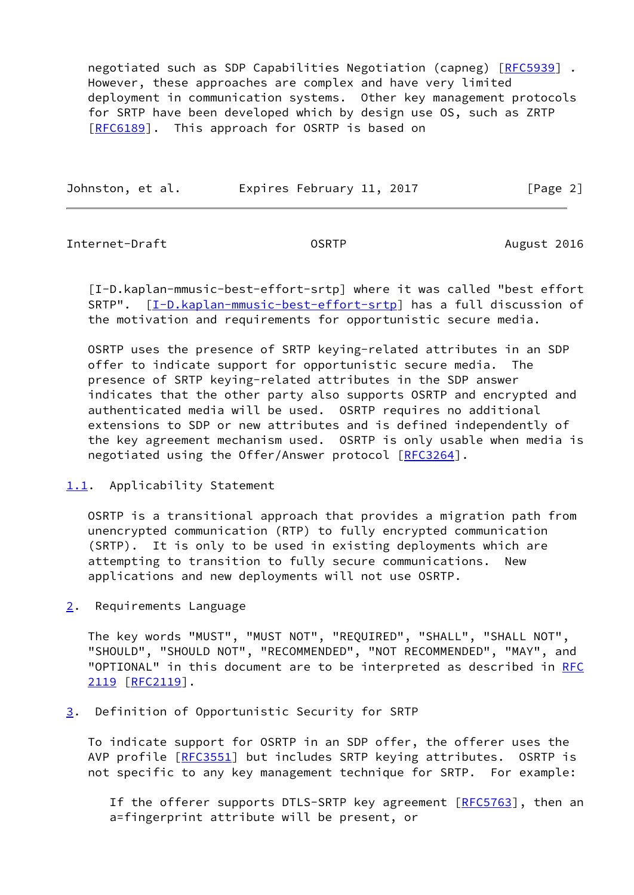negotiated such as SDP Capabilities Negotiation (capneg) [\[RFC5939](https://datatracker.ietf.org/doc/pdf/rfc5939)] . However, these approaches are complex and have very limited deployment in communication systems. Other key management protocols for SRTP have been developed which by design use OS, such as ZRTP [\[RFC6189](https://datatracker.ietf.org/doc/pdf/rfc6189)]. This approach for OSRTP is based on

| Johnston, et al. | Expires February 11, 2017 | [Page 2] |
|------------------|---------------------------|----------|
|                  |                           |          |

<span id="page-2-1"></span>Internet-Draft OSRTP August 2016

<span id="page-2-4"></span> [I-D.kaplan-mmusic-best-effort-srtp] where it was called "best effort SRTP". [\[I-D.kaplan-mmusic-best-effort-srtp\]](#page-2-4) has a full discussion of the motivation and requirements for opportunistic secure media.

 OSRTP uses the presence of SRTP keying-related attributes in an SDP offer to indicate support for opportunistic secure media. The presence of SRTP keying-related attributes in the SDP answer indicates that the other party also supports OSRTP and encrypted and authenticated media will be used. OSRTP requires no additional extensions to SDP or new attributes and is defined independently of the key agreement mechanism used. OSRTP is only usable when media is negotiated using the Offer/Answer protocol [[RFC3264\]](https://datatracker.ietf.org/doc/pdf/rfc3264).

<span id="page-2-0"></span>[1.1](#page-2-0). Applicability Statement

 OSRTP is a transitional approach that provides a migration path from unencrypted communication (RTP) to fully encrypted communication (SRTP). It is only to be used in existing deployments which are attempting to transition to fully secure communications. New applications and new deployments will not use OSRTP.

<span id="page-2-2"></span>[2](#page-2-2). Requirements Language

 The key words "MUST", "MUST NOT", "REQUIRED", "SHALL", "SHALL NOT", "SHOULD", "SHOULD NOT", "RECOMMENDED", "NOT RECOMMENDED", "MAY", and "OPTIONAL" in this document are to be interpreted as described in [RFC](https://datatracker.ietf.org/doc/pdf/rfc2119) [2119](https://datatracker.ietf.org/doc/pdf/rfc2119) [\[RFC2119](https://datatracker.ietf.org/doc/pdf/rfc2119)].

<span id="page-2-3"></span>[3](#page-2-3). Definition of Opportunistic Security for SRTP

 To indicate support for OSRTP in an SDP offer, the offerer uses the AVP profile [\[RFC3551](https://datatracker.ietf.org/doc/pdf/rfc3551)] but includes SRTP keying attributes. OSRTP is not specific to any key management technique for SRTP. For example:

If the offerer supports DTLS-SRTP key agreement [[RFC5763\]](https://datatracker.ietf.org/doc/pdf/rfc5763), then an a=fingerprint attribute will be present, or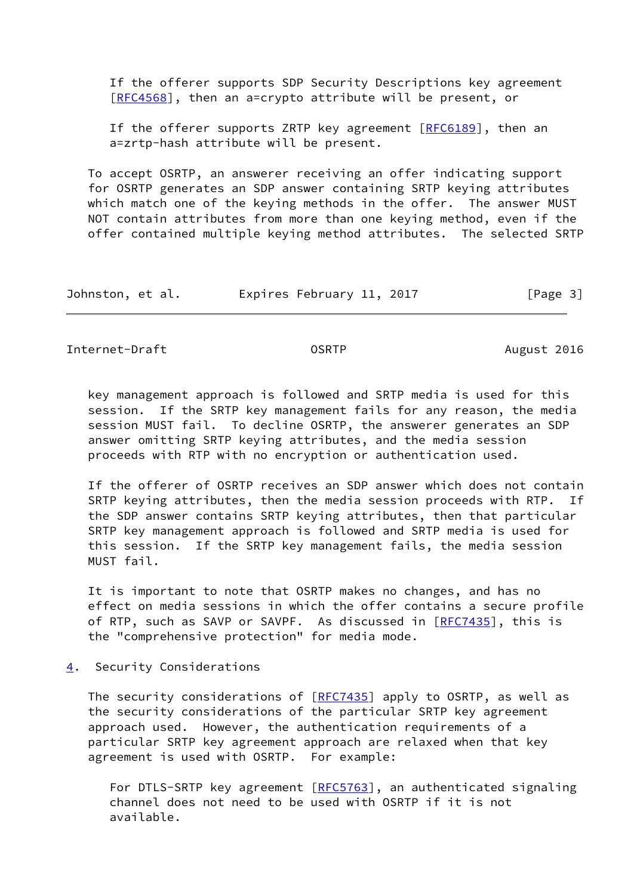If the offerer supports SDP Security Descriptions key agreement [[RFC4568\]](https://datatracker.ietf.org/doc/pdf/rfc4568), then an a=crypto attribute will be present, or

If the offerer supports ZRTP key agreement  $[REG189]$ , then an a=zrtp-hash attribute will be present.

 To accept OSRTP, an answerer receiving an offer indicating support for OSRTP generates an SDP answer containing SRTP keying attributes which match one of the keying methods in the offer. The answer MUST NOT contain attributes from more than one keying method, even if the offer contained multiple keying method attributes. The selected SRTP

| Johnston, et al. | Expires February 11, 2017 | [Page 3] |
|------------------|---------------------------|----------|
|------------------|---------------------------|----------|

<span id="page-3-1"></span>Internet-Draft **Contract COSRTP** COSRTP August 2016

 key management approach is followed and SRTP media is used for this session. If the SRTP key management fails for any reason, the media session MUST fail. To decline OSRTP, the answerer generates an SDP answer omitting SRTP keying attributes, and the media session proceeds with RTP with no encryption or authentication used.

 If the offerer of OSRTP receives an SDP answer which does not contain SRTP keying attributes, then the media session proceeds with RTP. If the SDP answer contains SRTP keying attributes, then that particular SRTP key management approach is followed and SRTP media is used for this session. If the SRTP key management fails, the media session MUST fail.

 It is important to note that OSRTP makes no changes, and has no effect on media sessions in which the offer contains a secure profile of RTP, such as SAVP or SAVPF. As discussed in [\[RFC7435](https://datatracker.ietf.org/doc/pdf/rfc7435)], this is the "comprehensive protection" for media mode.

<span id="page-3-0"></span>[4](#page-3-0). Security Considerations

The security considerations of [\[RFC7435](https://datatracker.ietf.org/doc/pdf/rfc7435)] apply to OSRTP, as well as the security considerations of the particular SRTP key agreement approach used. However, the authentication requirements of a particular SRTP key agreement approach are relaxed when that key agreement is used with OSRTP. For example:

For DTLS-SRTP key agreement [\[RFC5763](https://datatracker.ietf.org/doc/pdf/rfc5763)], an authenticated signaling channel does not need to be used with OSRTP if it is not available.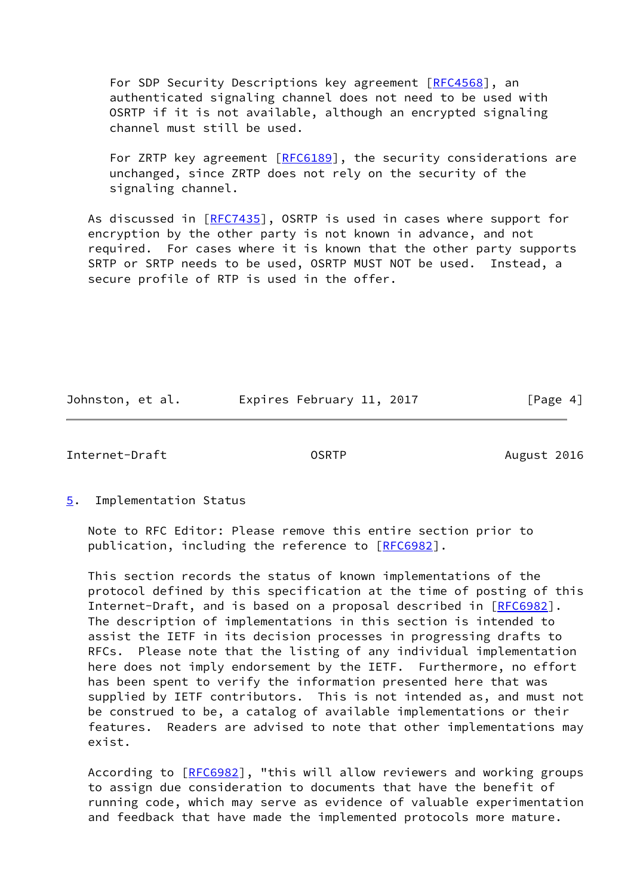For SDP Security Descriptions key agreement [\[RFC4568](https://datatracker.ietf.org/doc/pdf/rfc4568)], an authenticated signaling channel does not need to be used with OSRTP if it is not available, although an encrypted signaling channel must still be used.

For ZRTP key agreement [[RFC6189](https://datatracker.ietf.org/doc/pdf/rfc6189)], the security considerations are unchanged, since ZRTP does not rely on the security of the signaling channel.

As discussed in [\[RFC7435](https://datatracker.ietf.org/doc/pdf/rfc7435)], OSRTP is used in cases where support for encryption by the other party is not known in advance, and not required. For cases where it is known that the other party supports SRTP or SRTP needs to be used, OSRTP MUST NOT be used. Instead, a secure profile of RTP is used in the offer.

Johnston, et al. 
Expires February 11, 2017
[Page 4]

<span id="page-4-1"></span>Internet-Draft OSRTP August 2016

<span id="page-4-0"></span>[5](#page-4-0). Implementation Status

 Note to RFC Editor: Please remove this entire section prior to publication, including the reference to [\[RFC6982](https://datatracker.ietf.org/doc/pdf/rfc6982)].

 This section records the status of known implementations of the protocol defined by this specification at the time of posting of this Internet-Draft, and is based on a proposal described in [\[RFC6982](https://datatracker.ietf.org/doc/pdf/rfc6982)]. The description of implementations in this section is intended to assist the IETF in its decision processes in progressing drafts to RFCs. Please note that the listing of any individual implementation here does not imply endorsement by the IETF. Furthermore, no effort has been spent to verify the information presented here that was supplied by IETF contributors. This is not intended as, and must not be construed to be, a catalog of available implementations or their features. Readers are advised to note that other implementations may exist.

According to [\[RFC6982](https://datatracker.ietf.org/doc/pdf/rfc6982)], "this will allow reviewers and working groups to assign due consideration to documents that have the benefit of running code, which may serve as evidence of valuable experimentation and feedback that have made the implemented protocols more mature.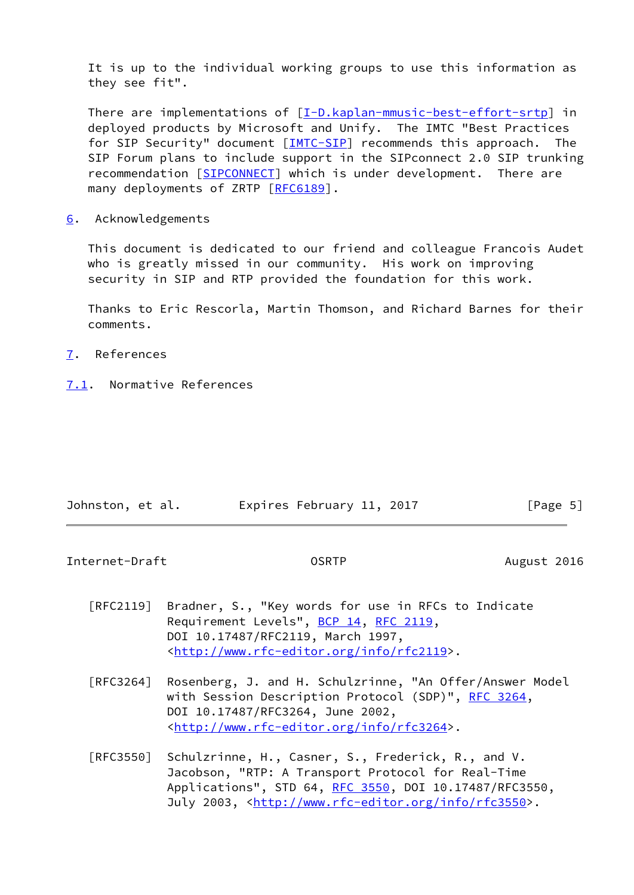It is up to the individual working groups to use this information as they see fit".

There are implementations of [\[I-D.kaplan-mmusic-best-effort-srtp\]](#page-2-4) in deployed products by Microsoft and Unify. The IMTC "Best Practices for SIP Security" document [[IMTC-SIP\]](#page-7-0) recommends this approach. The SIP Forum plans to include support in the SIPconnect 2.0 SIP trunking recommendation [\[SIPCONNECT](#page-7-1)] which is under development. There are many deployments of ZRTP [\[RFC6189](https://datatracker.ietf.org/doc/pdf/rfc6189)].

<span id="page-5-0"></span>[6](#page-5-0). Acknowledgements

 This document is dedicated to our friend and colleague Francois Audet who is greatly missed in our community. His work on improving security in SIP and RTP provided the foundation for this work.

 Thanks to Eric Rescorla, Martin Thomson, and Richard Barnes for their comments.

- <span id="page-5-1"></span>[7](#page-5-1). References
- <span id="page-5-2"></span>[7.1](#page-5-2). Normative References

| Johnston, et al. | Expires February 11, 2017 | [Page 5] |
|------------------|---------------------------|----------|

Internet-Draft **Contract COSRTP** COSRTP August 2016

- [RFC2119] Bradner, S., "Key words for use in RFCs to Indicate Requirement Levels", [BCP 14](https://datatracker.ietf.org/doc/pdf/bcp14), [RFC 2119](https://datatracker.ietf.org/doc/pdf/rfc2119), DOI 10.17487/RFC2119, March 1997, <<http://www.rfc-editor.org/info/rfc2119>>.
- [RFC3264] Rosenberg, J. and H. Schulzrinne, "An Offer/Answer Model with Session Description Protocol (SDP)", [RFC 3264](https://datatracker.ietf.org/doc/pdf/rfc3264), DOI 10.17487/RFC3264, June 2002, <<http://www.rfc-editor.org/info/rfc3264>>.
- [RFC3550] Schulzrinne, H., Casner, S., Frederick, R., and V. Jacobson, "RTP: A Transport Protocol for Real-Time Applications", STD 64, [RFC 3550](https://datatracker.ietf.org/doc/pdf/rfc3550), DOI 10.17487/RFC3550, July 2003, <<http://www.rfc-editor.org/info/rfc3550>>.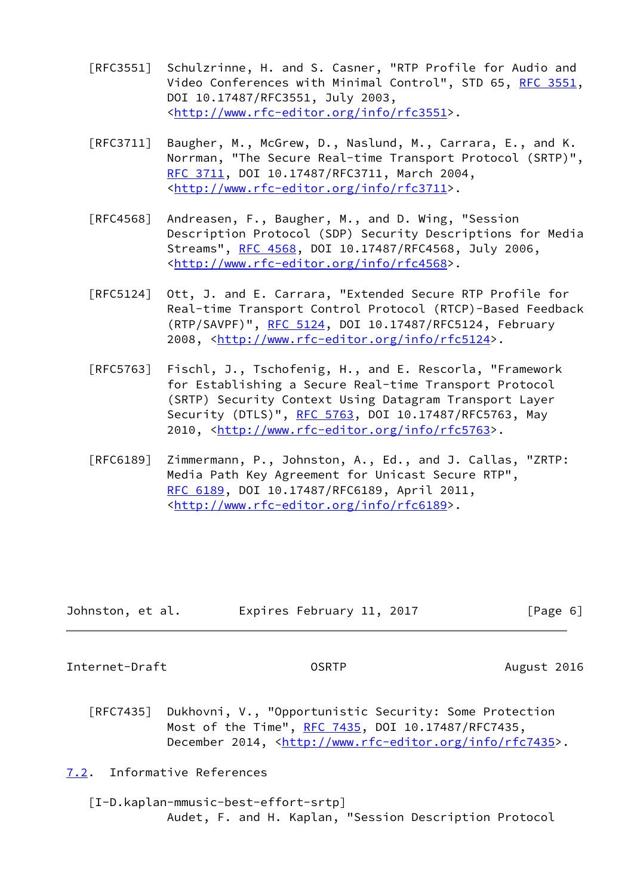- [RFC3551] Schulzrinne, H. and S. Casner, "RTP Profile for Audio and Video Conferences with Minimal Control", STD 65, [RFC 3551,](https://datatracker.ietf.org/doc/pdf/rfc3551) DOI 10.17487/RFC3551, July 2003, <<http://www.rfc-editor.org/info/rfc3551>>.
- [RFC3711] Baugher, M., McGrew, D., Naslund, M., Carrara, E., and K. Norrman, "The Secure Real-time Transport Protocol (SRTP)", [RFC 3711,](https://datatracker.ietf.org/doc/pdf/rfc3711) DOI 10.17487/RFC3711, March 2004, <<http://www.rfc-editor.org/info/rfc3711>>.
- [RFC4568] Andreasen, F., Baugher, M., and D. Wing, "Session Description Protocol (SDP) Security Descriptions for Media Streams", [RFC 4568](https://datatracker.ietf.org/doc/pdf/rfc4568), DOI 10.17487/RFC4568, July 2006, <<http://www.rfc-editor.org/info/rfc4568>>.
- [RFC5124] Ott, J. and E. Carrara, "Extended Secure RTP Profile for Real-time Transport Control Protocol (RTCP)-Based Feedback (RTP/SAVPF)", [RFC 5124](https://datatracker.ietf.org/doc/pdf/rfc5124), DOI 10.17487/RFC5124, February 2008, [<http://www.rfc-editor.org/info/rfc5124](http://www.rfc-editor.org/info/rfc5124)>.
- [RFC5763] Fischl, J., Tschofenig, H., and E. Rescorla, "Framework for Establishing a Secure Real-time Transport Protocol (SRTP) Security Context Using Datagram Transport Layer Security (DTLS)", [RFC 5763](https://datatracker.ietf.org/doc/pdf/rfc5763), DOI 10.17487/RFC5763, May 2010, [<http://www.rfc-editor.org/info/rfc5763](http://www.rfc-editor.org/info/rfc5763)>.
- [RFC6189] Zimmermann, P., Johnston, A., Ed., and J. Callas, "ZRTP: Media Path Key Agreement for Unicast Secure RTP", [RFC 6189,](https://datatracker.ietf.org/doc/pdf/rfc6189) DOI 10.17487/RFC6189, April 2011, <<http://www.rfc-editor.org/info/rfc6189>>.

| Johnston, et al. | Expires February 11, 2017 | [Page 6] |
|------------------|---------------------------|----------|
|------------------|---------------------------|----------|

<span id="page-6-1"></span>Internet-Draft OSRTP August 2016

 [RFC7435] Dukhovni, V., "Opportunistic Security: Some Protection Most of the Time", [RFC 7435](https://datatracker.ietf.org/doc/pdf/rfc7435), DOI 10.17487/RFC7435, December 2014, <<http://www.rfc-editor.org/info/rfc7435>>.

<span id="page-6-0"></span>[7.2](#page-6-0). Informative References

 [I-D.kaplan-mmusic-best-effort-srtp] Audet, F. and H. Kaplan, "Session Description Protocol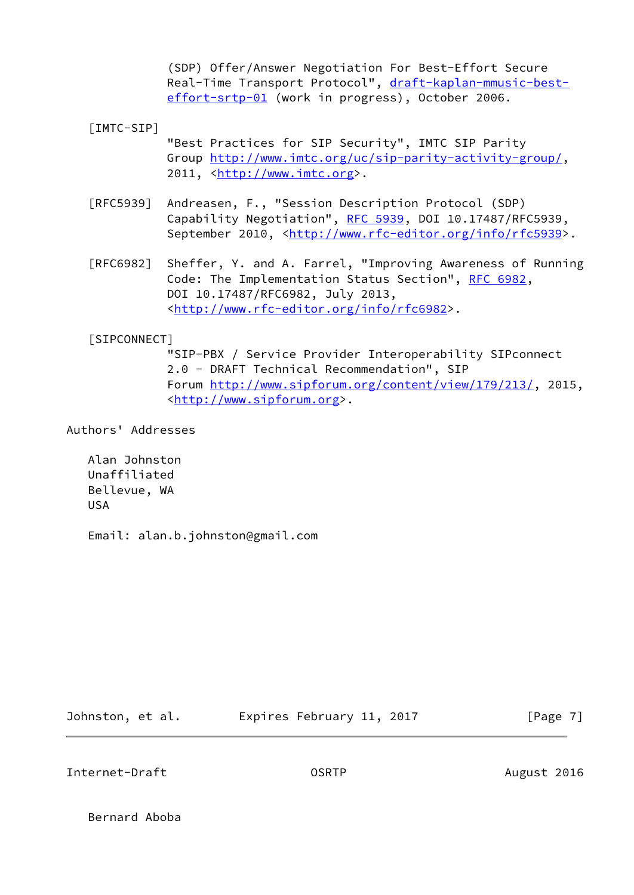(SDP) Offer/Answer Negotiation For Best-Effort Secure Real-Time Transport Protocol", [draft-kaplan-mmusic-best](https://datatracker.ietf.org/doc/pdf/draft-kaplan-mmusic-best-effort-srtp-01) [effort-srtp-01](https://datatracker.ietf.org/doc/pdf/draft-kaplan-mmusic-best-effort-srtp-01) (work in progress), October 2006.

<span id="page-7-0"></span>[IMTC-SIP]

 "Best Practices for SIP Security", IMTC SIP Parity Group<http://www.imtc.org/uc/sip-parity-activity-group/>, 2011, [<http://www.imtc.org](http://www.imtc.org)>.

- [RFC5939] Andreasen, F., "Session Description Protocol (SDP) Capability Negotiation", [RFC 5939,](https://datatracker.ietf.org/doc/pdf/rfc5939) DOI 10.17487/RFC5939, September 2010, <<http://www.rfc-editor.org/info/rfc5939>>.
- [RFC6982] Sheffer, Y. and A. Farrel, "Improving Awareness of Running Code: The Implementation Status Section", [RFC 6982](https://datatracker.ietf.org/doc/pdf/rfc6982), DOI 10.17487/RFC6982, July 2013, <<http://www.rfc-editor.org/info/rfc6982>>.

## <span id="page-7-1"></span>[SIPCONNECT]

 "SIP-PBX / Service Provider Interoperability SIPconnect 2.0 - DRAFT Technical Recommendation", SIP Forum<http://www.sipforum.org/content/view/179/213/>, 2015, <[http://www.sipforum.org>](http://www.sipforum.org).

Authors' Addresses

 Alan Johnston Unaffiliated Bellevue, WA USA

Email: alan.b.johnston@gmail.com

Johnston, et al. **Expires February 11, 2017**[Page 7]

Internet-Draft **Contract OSRTP** CONSIDERTY August 2016

Bernard Aboba